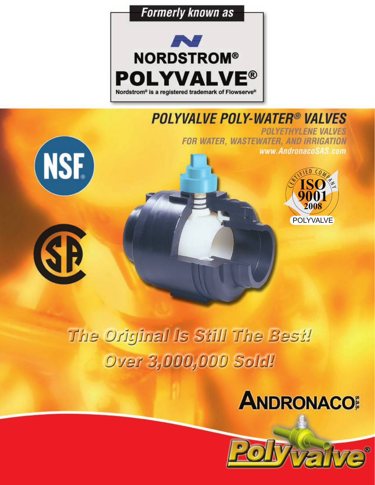

## **POLYVALVE POLY-WATER® VALVES**

**POLYETHYLENE VALVES** FOR WATER, WASTEWATER, AND IRRIGATION www.AndronacoSAS.com







# The Original Is Still The Best! **Over 3,000,000 Sold!**



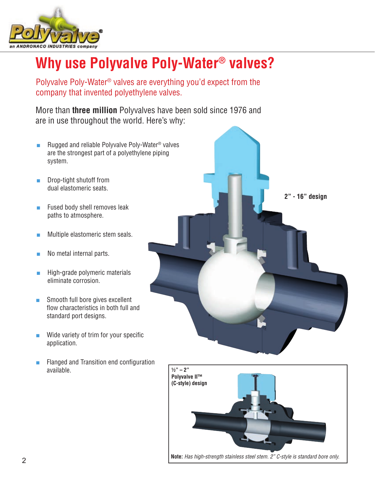

## **Why use Polyvalve Poly-Water® valves?**

Polyvalve Poly-Water® valves are everything you'd expect from the company that invented polyethylene valves.

More than **three million** Polyvalves have been sold since 1976 and are in use throughout the world. Here's why:

- Rugged and reliable Polyvalve Poly-Water<sup>®</sup> valves are the strongest part of a polyethylene piping system.
- Drop-tight shutoff from dual elastomeric seats.
- Fused body shell removes leak paths to atmosphere.
- Multiple elastomeric stem seals.
- No metal internal parts.
- High-grade polymeric materials eliminate corrosion.
- Smooth full bore gives excellent flow characteristics in both full and standard port designs.
- Wide variety of trim for your specific application.
- Flanged and Transition end configuration available.



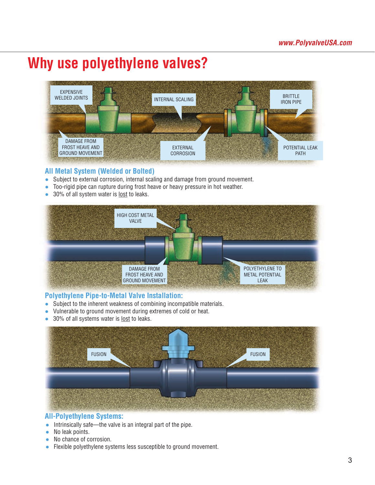## **Why use polyethylene valves?**



### **All Metal System (Welded or Bolted)**

- Subject to external corrosion, internal scaling and damage from ground movement.
- Too-rigid pipe can rupture during frost heave or heavy pressure in hot weather.
- 30% of all system water is <u>lost</u> to leaks.



### **Polyethylene Pipe-to-Metal Valve Installation:**

- Subject to the inherent weakness of combining incompatible materials.
- Vulnerable to ground movement during extremes of cold or heat.
- 30% of all systems water is lost to leaks.



### **All-Polyethylene Systems:**

- Intrinsically safe—the valve is an integral part of the pipe.
- No leak points.
- No chance of corrosion.
- Flexible polyethylene systems less susceptible to ground movement.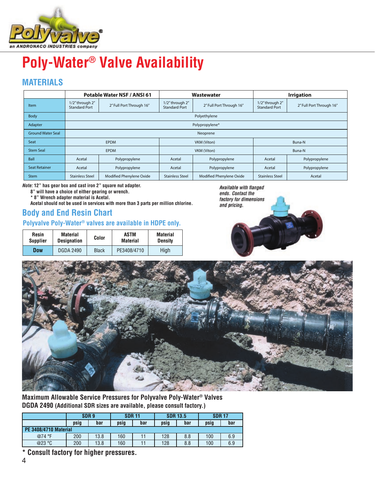

## **Poly-Water® Valve Availability**

## **MATERIALS**

|                          | Potable Water NSF / ANSI 61             |                          |                                         | Wastewater               | <b>Irrigation</b>                       |                          |  |
|--------------------------|-----------------------------------------|--------------------------|-----------------------------------------|--------------------------|-----------------------------------------|--------------------------|--|
| Item                     | 1/2" through 2"<br><b>Standard Port</b> | 2" Full Port Through 16" | 1/2" through 2"<br><b>Standard Port</b> | 2" Full Port Through 16" | 1/2" through 2"<br><b>Standard Port</b> | 2" Full Port Through 16" |  |
| Body                     |                                         |                          |                                         | Polyethylene             |                                         |                          |  |
| Adapter                  |                                         |                          |                                         | Polypropylene*           |                                         |                          |  |
| <b>Ground Water Seal</b> |                                         |                          |                                         | Neoprene                 |                                         |                          |  |
| Seat                     | <b>EPDM</b>                             |                          | VKM (Viton)                             |                          | Buna-N                                  |                          |  |
| <b>Stem Seal</b>         | <b>EPDM</b>                             |                          | VKM (Viton)                             |                          | Buna-N                                  |                          |  |
| Ball                     | Acetal                                  | Polypropylene            | Acetal                                  | Polypropylene            | Acetal                                  | Polypropylene            |  |
| <b>Seat Retainer</b>     | Acetal                                  | Polypropylene            | Acetal                                  | Polypropylene            | Acetal                                  | Polypropylene            |  |
| <b>Stem</b>              | <b>Stainless Steel</b>                  | Modified Phenylene Oxide | <b>Stainless Steel</b>                  | Modified Phenylene Oxide | <b>Stainless Steel</b>                  | Acetal                   |  |

*Note:* **12" has gear box and cast iron 2" square nut adapter.**

**8" will have a choice of either gearing or wrench.**

**\* 8" Wrench adapter material is Acetal.**

**Acetal should not be used in services with more than 3 parts per million chlorine.**

## **Body and End Resin Chart**

## **Polyvalve Poly-Water® valves are available in HDPE only.**

| Resin           | <b>Material</b>    | Color        | ASTM            | <b>Material</b> |  |
|-----------------|--------------------|--------------|-----------------|-----------------|--|
| <b>Supplier</b> | <b>Designation</b> |              | <b>Material</b> | <b>Density</b>  |  |
| Dow             | <b>DGDA 2490</b>   | <b>Black</b> | PE3408/4710     | High            |  |





**Maximum Allowable Service Pressures for Polyvalve Poly-Water® Valves DGDA 2490 (Additional SDR sizes are available, please consult factory.)**

|                              | SDR <sub>9</sub> |      | <b>SDR 11</b> |     | <b>SDR 13.5</b> |     | <b>SDR 17</b> |     |  |
|------------------------------|------------------|------|---------------|-----|-----------------|-----|---------------|-----|--|
|                              | psia             | bar  | psig          | bar | psig            | bar | psig          | bar |  |
| <b>PE 3408/4710 Material</b> |                  |      |               |     |                 |     |               |     |  |
| @74 °F                       | 200              | 13.8 | 160           |     | 128             | 8.8 | 100           | 6.9 |  |
| @23 °C                       | 200              | 13.8 | 160           |     | 128             | 8.8 | 100           | 6.9 |  |

**\* Consult factory for higher pressures.**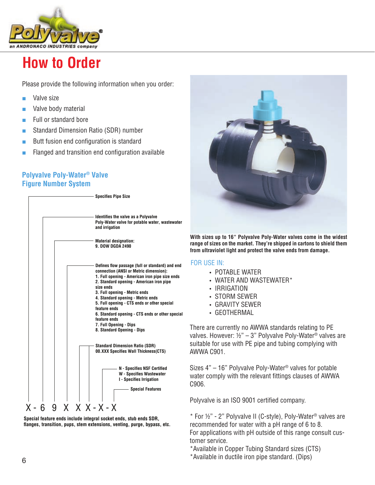

## **How to Order**

Please provide the following information when you order:

- Valve size
- Valve body material
- Full or standard bore

Standard Dimension Ratio (SDR) number

- Butt fusion end configuration is standard
- Flanged and transition end configuration available

### **Polyvalve Poly-Water® Valve Figure Number System**







**With sizes up to 16" Polyvalve Poly-Water valves come in the widest range of sizes on the market. They're shipped in cartons to shield them from ultraviolet light and protect the valve ends from damage.**

#### FOR USE IN:

- POTABLE WATER
- WATER AND WASTEWATER\*
- IRRIGATION
- STORM SEWER
- GRAVITY SEWER
- GEOTHERMAL

There are currently no AWWA standards relating to PE valves. However:  $\frac{1}{2}$ " – 3" Polyvalve Poly-Water<sup>®</sup> valves are suitable for use with PE pipe and tubing complying with AWWA C901.

Sizes 4" – 16" Polyvalve Poly-Water® valves for potable water comply with the relevant fittings clauses of AWWA C906.

Polyvalve is an ISO 9001 certified company.

 $*$  For  $\frac{1}{2}$ " - 2" Polyvalve II (C-style), Poly-Water<sup>®</sup> valves are recommended for water with a pH range of 6 to 8. For applications with pH outside of this range consult customer service.

\*Available in Copper Tubing Standard sizes (CTS)

\*Available in ductile iron pipe standard. (Dips)